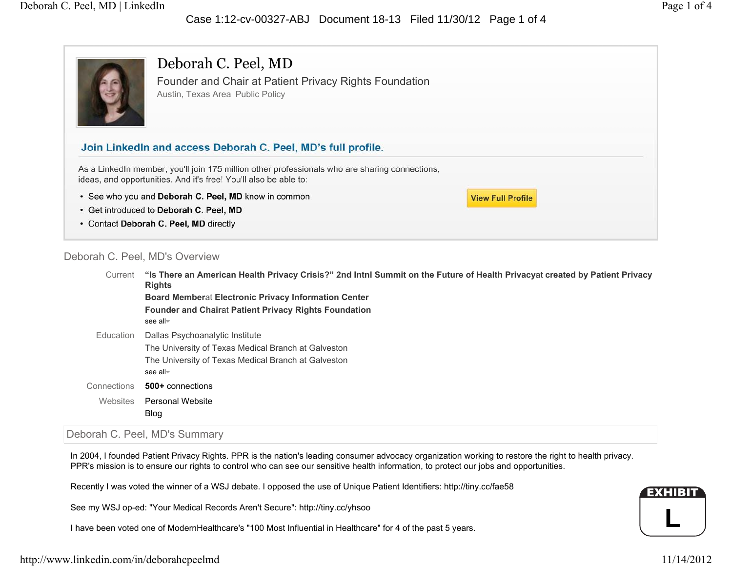# Case 1:12-cv-00327-ABJ Document 18-13 Filed 11/30/12 Page 1 of 4



Deborah C. Peel, MD Founder and Chair at Patient Privacy Rights Foundation Austin, Texas Area Public Policy

# Join LinkedIn and access Deborah C. Peel, MD's full profile.

As a LinkedIn member, you'll join 175 million other professionals who are sharing connections, ideas, and opportunities. And it's free! You'll also be able to:

- See who you and Deborah C. Peel, MD know in common
- · Get introduced to Deborah C. Peel, MD
- Contact Deborah C. Peel, MD directly

## Deborah C. Peel, MD's Overview

**"Is There an American Health Privacy Crisis?" 2nd Intnl Summit on the Future of Health Privacy**at **created by Patient Privacy Rights Board Member**at **Electronic Privacy Information Center Founder and Chair**at **Patient Privacy Rights Foundation** see allDallas Psychoanalytic Institute The University of Texas Medical Branch at Galveston The University of Texas Medical Branch at Galveston see all**500+** connections Personal WebsiteBlog CurrentEducationConnectionsWebsites

**View Full Profile** 

# Deborah C. Peel, MD's Summary

In 2004, I founded Patient Privacy Rights. PPR is the nation's leading consumer advocacy organization working to restore the right to health privacy. PPR's mission is to ensure our rights to control who can see our sensitive health information, to protect our jobs and opportunities.

Recently I was voted the winner of a WSJ debate. I opposed the use of Unique Patient Identifiers: http://tiny.cc/fae58

See my WSJ op-ed: "Your Medical Records Aren't Secure": http://tiny.cc/yhsoo

I have been voted one of ModernHealthcare's "100 Most Influential in Healthcare" for 4 of the past 5 years.

**L**

EXHIBIT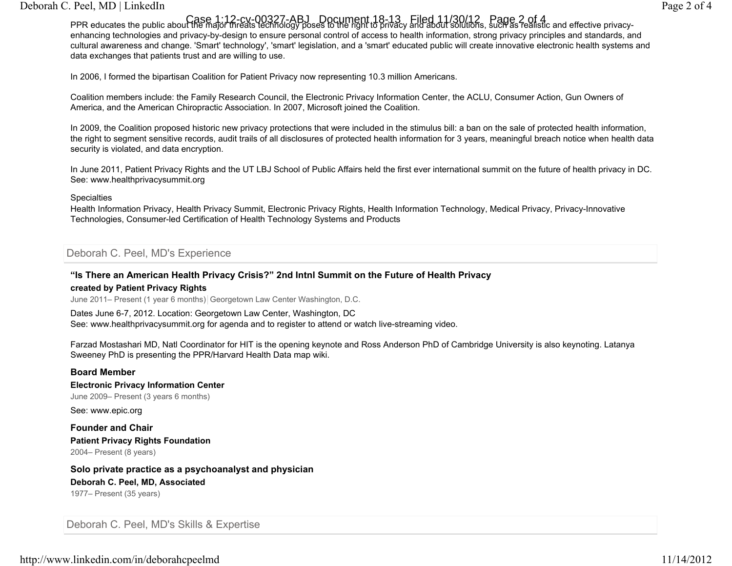## Deborah C. Peel, MD | LinkedIn Page 2 of 4

Case 1:12-cv-00327-ABJ Document 18-13 Filed 11/30/12 Page 2 of 4<br>PPR educates the public about the major threats technology poses to the right to privacy and about solutions, such as realistic and effective privacyenhancing technologies and privacy-by-design to ensure personal control of access to health information, strong privacy principles and standards, and cultural awareness and change. 'Smart' technology', 'smart' legislation, and a 'smart' educated public will create innovative electronic health systems and data exchanges that patients trust and are willing to use.

In 2006, I formed the bipartisan Coalition for Patient Privacy now representing 10.3 million Americans.

Coalition members include: the Family Research Council, the Electronic Privacy Information Center, the ACLU, Consumer Action, Gun Owners of America, and the American Chiropractic Association. In 2007, Microsoft joined the Coalition.

In 2009, the Coalition proposed historic new privacy protections that were included in the stimulus bill: a ban on the sale of protected health information, the right to segment sensitive records, audit trails of all disclosures of protected health information for 3 years, meaningful breach notice when health data security is violated, and data encryption.

In June 2011, Patient Privacy Rights and the UT LBJ School of Public Affairs held the first ever international summit on the future of health privacy in DC. See: www.healthprivacysummit.org

#### **Specialties**

Health Information Privacy, Health Privacy Summit, Electronic Privacy Rights, Health Information Technology, Medical Privacy, Privacy-Innovative Technologies, Consumer-led Certification of Health Technology Systems and Products

## Deborah C. Peel, MD's Experience

#### **"Is There an American Health Privacy Crisis?" 2nd Intnl Summit on the Future of Health Privacy created by Patient Privacy Rights**

June 2011– Present (1 year 6 months) Georgetown Law Center Washington, D.C.

Dates June 6-7, 2012. Location: Georgetown Law Center, Washington, DC See: www.healthprivacysummit.org for agenda and to register to attend or watch live-streaming video.

Farzad Mostashari MD, Natl Coordinator for HIT is the opening keynote and Ross Anderson PhD of Cambridge University is also keynoting. Latanya Sweeney PhD is presenting the PPR/Harvard Health Data map wiki.

#### **Board Member**

**Electronic Privacy Information Center**

June 2009– Present (3 years 6 months)

See: www.epic.org

**Founder and ChairPatient Privacy Rights Foundation** 2004– Present (8 years)

**Solo private practice as a psychoanalyst and physician Deborah C. Peel, MD, Associated** 1977– Present (35 years)

Deborah C. Peel, MD's Skills & Expertise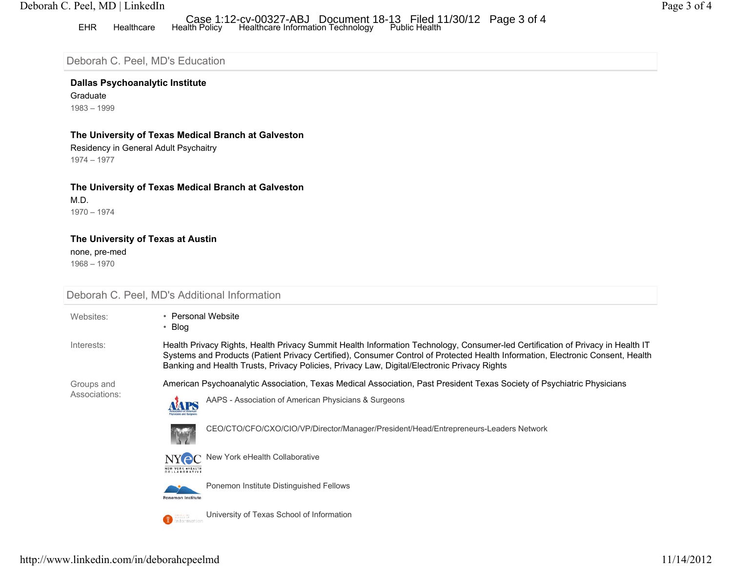## Deborah C. Peel, MD | LinkedIn Page 3 of 4

# EHR Healthcare Health Policy Healthcare Information Technology Public Health Case 1:12-cv-00327-ABJ Document 18-13 Filed 11/30/12 Page 3 of 4

# Deborah C. Peel, MD's Education

## **Dallas Psychoanalytic Institute**

Graduate 1983 – 1999

#### **The University of Texas Medical Branch at Galveston**

Residency in General Adult Psychaitry 1974 – 1977

#### **The University of Texas Medical Branch at Galveston**

M.D. 1970 – 1974

#### **The University of Texas at Austin**

none, pre-med

1968 – 1970

| Deborah C. Peel, MD's Additional Information |                                                                                                                                                                                                                                                                                                                                                                 |
|----------------------------------------------|-----------------------------------------------------------------------------------------------------------------------------------------------------------------------------------------------------------------------------------------------------------------------------------------------------------------------------------------------------------------|
| Websites:                                    | • Personal Website<br>• Blog                                                                                                                                                                                                                                                                                                                                    |
| Interests:                                   | Health Privacy Rights, Health Privacy Summit Health Information Technology, Consumer-led Certification of Privacy in Health IT<br>Systems and Products (Patient Privacy Certified), Consumer Control of Protected Health Information, Electronic Consent, Health<br>Banking and Health Trusts, Privacy Policies, Privacy Law, Digital/Electronic Privacy Rights |
| Groups and<br>Associations:                  | American Psychoanalytic Association, Texas Medical Association, Past President Texas Society of Psychiatric Physicians<br>AAPS - Association of American Physicians & Surgeons                                                                                                                                                                                  |
|                                              | <b>hysiolass and Surger</b><br>CEO/CTO/CFO/CXO/CIO/VP/Director/Manager/President/Head/Entrepreneurs-Leaders Network                                                                                                                                                                                                                                             |
|                                              | NY C New York eHealth Collaborative<br><b>NEW YORK &amp;HEALTH</b><br>COLLABORATIVE                                                                                                                                                                                                                                                                             |
|                                              | Ponemon Institute Distinguished Fellows<br><b>Ponemon Institute</b>                                                                                                                                                                                                                                                                                             |
|                                              | University of Texas School of Information<br><sup>1</sup> information                                                                                                                                                                                                                                                                                           |